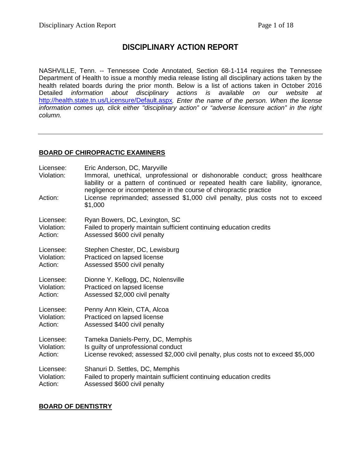# **DISCIPLINARY ACTION REPORT**

NASHVILLE, Tenn. -- Tennessee Code Annotated, Section 68-1-114 requires the Tennessee Department of Health to issue a monthly media release listing all disciplinary actions taken by the health related boards during the prior month. Below is a list of actions taken in October 2016 Detailed *information about disciplinary actions is available on our website at*  <http://health.state.tn.us/Licensure/Default.aspx>*. Enter the name of the person. When the license information comes up, click either "disciplinary action" or "adverse licensure action" in the right column.*

## **BOARD OF CHIROPRACTIC EXAMINERS**

| Licensee:<br>Violation: | Eric Anderson, DC, Maryville<br>Immoral, unethical, unprofessional or dishonorable conduct; gross healthcare<br>liability or a pattern of continued or repeated health care liability, ignorance, |
|-------------------------|---------------------------------------------------------------------------------------------------------------------------------------------------------------------------------------------------|
| Action:                 | negligence or incompetence in the course of chiropractic practice<br>License reprimanded; assessed \$1,000 civil penalty, plus costs not to exceed<br>\$1,000                                     |
| Licensee:               | Ryan Bowers, DC, Lexington, SC                                                                                                                                                                    |
| Violation:              | Failed to properly maintain sufficient continuing education credits                                                                                                                               |
| Action:                 | Assessed \$600 civil penalty                                                                                                                                                                      |
| Licensee:               | Stephen Chester, DC, Lewisburg                                                                                                                                                                    |
| Violation:              | Practiced on lapsed license                                                                                                                                                                       |
| Action:                 | Assessed \$500 civil penalty                                                                                                                                                                      |
| Licensee:               | Dionne Y. Kellogg, DC, Nolensville                                                                                                                                                                |
| Violation:              | Practiced on lapsed license                                                                                                                                                                       |
| Action:                 | Assessed \$2,000 civil penalty                                                                                                                                                                    |
| Licensee:               | Penny Ann Klein, CTA, Alcoa                                                                                                                                                                       |
| Violation:              | Practiced on lapsed license                                                                                                                                                                       |
| Action:                 | Assessed \$400 civil penalty                                                                                                                                                                      |
| Licensee:               | Tameka Daniels-Perry, DC, Memphis                                                                                                                                                                 |
| Violation:              | Is guilty of unprofessional conduct                                                                                                                                                               |
| Action:                 | License revoked; assessed \$2,000 civil penalty, plus costs not to exceed \$5,000                                                                                                                 |
| Licensee:               | Shanuri D. Settles, DC, Memphis                                                                                                                                                                   |
| Violation:              | Failed to properly maintain sufficient continuing education credits                                                                                                                               |
| Action:                 | Assessed \$600 civil penalty                                                                                                                                                                      |

## **BOARD OF DENTISTRY**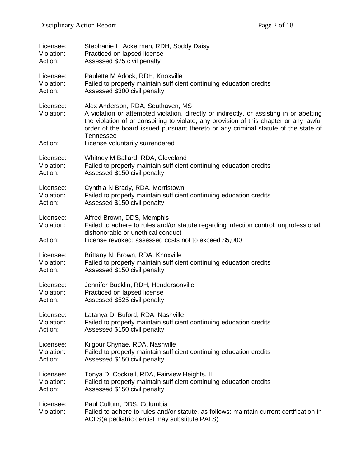| Licensee:               | Stephanie L. Ackerman, RDH, Soddy Daisy                                                                                                                                                                                                                                                                                   |
|-------------------------|---------------------------------------------------------------------------------------------------------------------------------------------------------------------------------------------------------------------------------------------------------------------------------------------------------------------------|
| Violation:              | Practiced on lapsed license                                                                                                                                                                                                                                                                                               |
| Action:                 | Assessed \$75 civil penalty                                                                                                                                                                                                                                                                                               |
| Licensee:               | Paulette M Adock, RDH, Knoxville                                                                                                                                                                                                                                                                                          |
| Violation:              | Failed to properly maintain sufficient continuing education credits                                                                                                                                                                                                                                                       |
| Action:                 | Assessed \$300 civil penalty                                                                                                                                                                                                                                                                                              |
| Licensee:<br>Violation: | Alex Anderson, RDA, Southaven, MS<br>A violation or attempted violation, directly or indirectly, or assisting in or abetting<br>the violation of or conspiring to violate, any provision of this chapter or any lawful<br>order of the board issued pursuant thereto or any criminal statute of the state of<br>Tennessee |
| Action:                 | License voluntarily surrendered                                                                                                                                                                                                                                                                                           |
| Licensee:               | Whitney M Ballard, RDA, Cleveland                                                                                                                                                                                                                                                                                         |
| Violation:              | Failed to properly maintain sufficient continuing education credits                                                                                                                                                                                                                                                       |
| Action:                 | Assessed \$150 civil penalty                                                                                                                                                                                                                                                                                              |
| Licensee:               | Cynthia N Brady, RDA, Morristown                                                                                                                                                                                                                                                                                          |
| Violation:              | Failed to properly maintain sufficient continuing education credits                                                                                                                                                                                                                                                       |
| Action:                 | Assessed \$150 civil penalty                                                                                                                                                                                                                                                                                              |
| Licensee:<br>Violation: | Alfred Brown, DDS, Memphis<br>Failed to adhere to rules and/or statute regarding infection control; unprofessional,<br>dishonorable or unethical conduct                                                                                                                                                                  |
| Action:                 | License revoked; assessed costs not to exceed \$5,000                                                                                                                                                                                                                                                                     |
| Licensee:               | Brittany N. Brown, RDA, Knoxville                                                                                                                                                                                                                                                                                         |
| Violation:              | Failed to properly maintain sufficient continuing education credits                                                                                                                                                                                                                                                       |
| Action:                 | Assessed \$150 civil penalty                                                                                                                                                                                                                                                                                              |
| Licensee:               | Jennifer Bucklin, RDH, Hendersonville                                                                                                                                                                                                                                                                                     |
| Violation:              | Practiced on lapsed license                                                                                                                                                                                                                                                                                               |
| Action:                 | Assessed \$525 civil penalty                                                                                                                                                                                                                                                                                              |
| Licensee:               | Latanya D. Buford, RDA, Nashville                                                                                                                                                                                                                                                                                         |
| Violation:              | Failed to properly maintain sufficient continuing education credits                                                                                                                                                                                                                                                       |
| Action:                 | Assessed \$150 civil penalty                                                                                                                                                                                                                                                                                              |
| Licensee:               | Kilgour Chynae, RDA, Nashville                                                                                                                                                                                                                                                                                            |
| Violation:              | Failed to properly maintain sufficient continuing education credits                                                                                                                                                                                                                                                       |
| Action:                 | Assessed \$150 civil penalty                                                                                                                                                                                                                                                                                              |
| Licensee:               | Tonya D. Cockrell, RDA, Fairview Heights, IL                                                                                                                                                                                                                                                                              |
| Violation:              | Failed to properly maintain sufficient continuing education credits                                                                                                                                                                                                                                                       |
| Action:                 | Assessed \$150 civil penalty                                                                                                                                                                                                                                                                                              |
| Licensee:<br>Violation: | Paul Cullum, DDS, Columbia<br>Failed to adhere to rules and/or statute, as follows: maintain current certification in<br>ACLS(a pediatric dentist may substitute PALS)                                                                                                                                                    |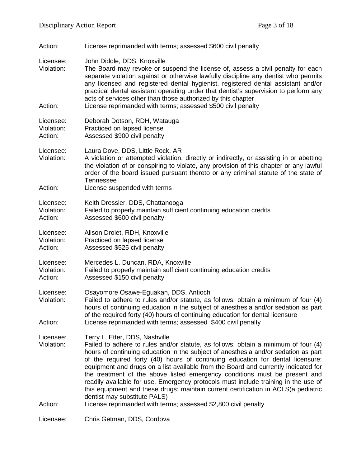| Action:                            | License reprimanded with terms; assessed \$600 civil penalty                                                                                                                                                                                                                                                                                                                                                                                                                                                                                                                                                                                                                 |
|------------------------------------|------------------------------------------------------------------------------------------------------------------------------------------------------------------------------------------------------------------------------------------------------------------------------------------------------------------------------------------------------------------------------------------------------------------------------------------------------------------------------------------------------------------------------------------------------------------------------------------------------------------------------------------------------------------------------|
| Licensee:<br>Violation:<br>Action: | John Diddle, DDS, Knoxville<br>The Board may revoke or suspend the license of, assess a civil penalty for each<br>separate violation against or otherwise lawfully discipline any dentist who permits<br>any licensed and registered dental hygienist, registered dental assistant and/or<br>practical dental assistant operating under that dentist's supervision to perform any<br>acts of services other than those authorized by this chapter<br>License reprimanded with terms; assessed \$500 civil penalty                                                                                                                                                            |
| Licensee:<br>Violation:<br>Action: | Deborah Dotson, RDH, Watauga<br>Practiced on lapsed license<br>Assessed \$900 civil penalty                                                                                                                                                                                                                                                                                                                                                                                                                                                                                                                                                                                  |
| Licensee:<br>Violation:<br>Action: | Laura Dove, DDS, Little Rock, AR<br>A violation or attempted violation, directly or indirectly, or assisting in or abetting<br>the violation of or conspiring to violate, any provision of this chapter or any lawful<br>order of the board issued pursuant thereto or any criminal statute of the state of<br><b>Tennessee</b><br>License suspended with terms                                                                                                                                                                                                                                                                                                              |
| Licensee:<br>Violation:<br>Action: | Keith Dressler, DDS, Chattanooga<br>Failed to properly maintain sufficient continuing education credits<br>Assessed \$600 civil penalty                                                                                                                                                                                                                                                                                                                                                                                                                                                                                                                                      |
| Licensee:<br>Violation:<br>Action: | Alison Drolet, RDH, Knoxville<br>Practiced on lapsed license<br>Assessed \$525 civil penalty                                                                                                                                                                                                                                                                                                                                                                                                                                                                                                                                                                                 |
| Licensee:<br>Violation:<br>Action: | Mercedes L. Duncan, RDA, Knoxville<br>Failed to properly maintain sufficient continuing education credits<br>Assessed \$150 civil penalty                                                                                                                                                                                                                                                                                                                                                                                                                                                                                                                                    |
| Licensee:<br>Violation:<br>Action: | Osayomore Osawe-Eguakan, DDS, Antioch<br>Failed to adhere to rules and/or statute, as follows: obtain a minimum of four (4)<br>hours of continuing education in the subject of anesthesia and/or sedation as part<br>of the required forty (40) hours of continuing education for dental licensure<br>License reprimanded with terms; assessed \$400 civil penalty                                                                                                                                                                                                                                                                                                           |
| Licensee:<br>Violation:<br>Action: | Terry L. Etter, DDS, Nashville<br>Failed to adhere to rules and/or statute, as follows: obtain a minimum of four (4)<br>hours of continuing education in the subject of anesthesia and/or sedation as part<br>of the required forty (40) hours of continuing education for dental licensure;<br>equipment and drugs on a list available from the Board and currently indicated for<br>the treatment of the above listed emergency conditions must be present and<br>readily available for use. Emergency protocols must include training in the use of<br>this equipment and these drugs; maintain current certification in ACLS(a pediatric<br>dentist may substitute PALS) |
| Licensee:                          | License reprimanded with terms; assessed \$2,800 civil penalty<br>Chris Getman, DDS, Cordova                                                                                                                                                                                                                                                                                                                                                                                                                                                                                                                                                                                 |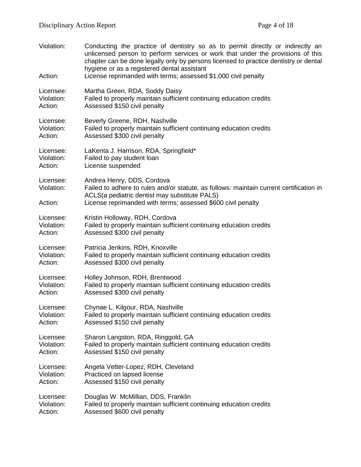| Violation:<br>Action:              | Conducting the practice of dentistry so as to permit directly or indirectly an<br>unlicensed person to perform services or work that under the provisions of this<br>chapter can be done legally only by persons licensed to practice dentistry or dental<br>hygiene or as a registered dental assistant<br>License reprimanded with terms; assessed \$1,000 civil penalty |
|------------------------------------|----------------------------------------------------------------------------------------------------------------------------------------------------------------------------------------------------------------------------------------------------------------------------------------------------------------------------------------------------------------------------|
| Licensee:                          | Martha Green, RDA, Soddy Daisy                                                                                                                                                                                                                                                                                                                                             |
| Violation:                         | Failed to properly maintain sufficient continuing education credits                                                                                                                                                                                                                                                                                                        |
| Action:                            | Assessed \$150 civil penalty                                                                                                                                                                                                                                                                                                                                               |
| Licensee:                          | Beverly Greene, RDH, Nashville                                                                                                                                                                                                                                                                                                                                             |
| Violation:                         | Failed to properly maintain sufficient continuing education credits                                                                                                                                                                                                                                                                                                        |
| Action:                            | Assessed \$300 civil penalty                                                                                                                                                                                                                                                                                                                                               |
| Licensee:                          | LaKenta J. Harrison, RDA, Springfield*                                                                                                                                                                                                                                                                                                                                     |
| Violation:                         | Failed to pay student loan                                                                                                                                                                                                                                                                                                                                                 |
| Action:                            | License suspended                                                                                                                                                                                                                                                                                                                                                          |
| Licensee:<br>Violation:<br>Action: | Andrea Henry, DDS, Cordova<br>Failed to adhere to rules and/or statute, as follows: maintain current certification in<br>ACLS(a pediatric dentist may substitute PALS)<br>License reprimanded with terms; assessed \$600 civil penalty                                                                                                                                     |
| Licensee:                          | Kristin Holloway, RDH, Cordova                                                                                                                                                                                                                                                                                                                                             |
| Violation:                         | Failed to properly maintain sufficient continuing education credits                                                                                                                                                                                                                                                                                                        |
| Action:                            | Assessed \$300 civil penalty                                                                                                                                                                                                                                                                                                                                               |
| Licensee:                          | Patricia Jenkins, RDH, Knoxville                                                                                                                                                                                                                                                                                                                                           |
| Violation:                         | Failed to properly maintain sufficient continuing education credits                                                                                                                                                                                                                                                                                                        |
| Action:                            | Assessed \$300 civil penalty                                                                                                                                                                                                                                                                                                                                               |
| Licensee:                          | Holley Johnson, RDH, Brentwood                                                                                                                                                                                                                                                                                                                                             |
| Violation:                         | Failed to properly maintain sufficient continuing education credits                                                                                                                                                                                                                                                                                                        |
| Action:                            | Assessed \$300 civil penalty                                                                                                                                                                                                                                                                                                                                               |
| Licensee:                          | Chynae L. Kilgour, RDA, Nashville                                                                                                                                                                                                                                                                                                                                          |
| Violation:                         | Failed to properly maintain sufficient continuing education credits                                                                                                                                                                                                                                                                                                        |
| Action:                            | Assessed \$150 civil penalty                                                                                                                                                                                                                                                                                                                                               |
| Licensee:                          | Sharon Langston, RDA, Ringgold, GA                                                                                                                                                                                                                                                                                                                                         |
| Violation:                         | Failed to properly maintain sufficient continuing education credits                                                                                                                                                                                                                                                                                                        |
| Action:                            | Assessed \$150 civil penalty                                                                                                                                                                                                                                                                                                                                               |
| Licensee:                          | Angela Vetter-Lopez, RDH, Cleveland                                                                                                                                                                                                                                                                                                                                        |
| Violation:                         | Practiced on lapsed license                                                                                                                                                                                                                                                                                                                                                |
| Action:                            | Assessed \$150 civil penalty                                                                                                                                                                                                                                                                                                                                               |
| Licensee:                          | Douglas W. McMillian, DDS, Franklin                                                                                                                                                                                                                                                                                                                                        |
| Violation:                         | Failed to properly maintain sufficient continuing education credits                                                                                                                                                                                                                                                                                                        |
| Action:                            | Assessed \$600 civil penalty                                                                                                                                                                                                                                                                                                                                               |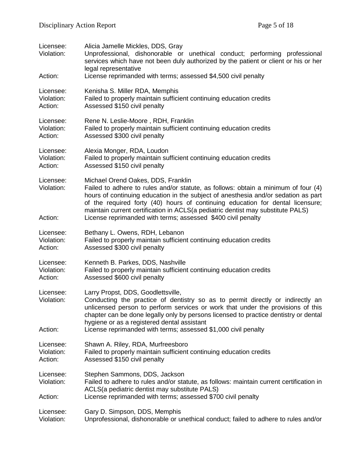| Licensee:<br>Violation:<br>Action: | Alicia Jamelle Mickles, DDS, Gray<br>Unprofessional, dishonorable or unethical conduct; performing professional<br>services which have not been duly authorized by the patient or client or his or her<br>legal representative<br>License reprimanded with terms; assessed \$4,500 civil penalty                                                                                                                                                    |
|------------------------------------|-----------------------------------------------------------------------------------------------------------------------------------------------------------------------------------------------------------------------------------------------------------------------------------------------------------------------------------------------------------------------------------------------------------------------------------------------------|
| Licensee:                          | Kenisha S. Miller RDA, Memphis                                                                                                                                                                                                                                                                                                                                                                                                                      |
| Violation:                         | Failed to properly maintain sufficient continuing education credits                                                                                                                                                                                                                                                                                                                                                                                 |
| Action:                            | Assessed \$150 civil penalty                                                                                                                                                                                                                                                                                                                                                                                                                        |
| Licensee:                          | Rene N. Leslie-Moore, RDH, Franklin                                                                                                                                                                                                                                                                                                                                                                                                                 |
| Violation:                         | Failed to properly maintain sufficient continuing education credits                                                                                                                                                                                                                                                                                                                                                                                 |
| Action:                            | Assessed \$300 civil penalty                                                                                                                                                                                                                                                                                                                                                                                                                        |
| Licensee:                          | Alexia Monger, RDA, Loudon                                                                                                                                                                                                                                                                                                                                                                                                                          |
| Violation:                         | Failed to properly maintain sufficient continuing education credits                                                                                                                                                                                                                                                                                                                                                                                 |
| Action:                            | Assessed \$150 civil penalty                                                                                                                                                                                                                                                                                                                                                                                                                        |
| Licensee:<br>Violation:<br>Action: | Michael Orend Oakes, DDS, Franklin<br>Failed to adhere to rules and/or statute, as follows: obtain a minimum of four (4)<br>hours of continuing education in the subject of anesthesia and/or sedation as part<br>of the required forty (40) hours of continuing education for dental licensure;<br>maintain current certification in ACLS(a pediatric dentist may substitute PALS)<br>License reprimanded with terms; assessed \$400 civil penalty |
| Licensee:                          | Bethany L. Owens, RDH, Lebanon                                                                                                                                                                                                                                                                                                                                                                                                                      |
| Violation:                         | Failed to properly maintain sufficient continuing education credits                                                                                                                                                                                                                                                                                                                                                                                 |
| Action:                            | Assessed \$300 civil penalty                                                                                                                                                                                                                                                                                                                                                                                                                        |
| Licensee:                          | Kenneth B. Parkes, DDS, Nashville                                                                                                                                                                                                                                                                                                                                                                                                                   |
| Violation:                         | Failed to properly maintain sufficient continuing education credits                                                                                                                                                                                                                                                                                                                                                                                 |
| Action:                            | Assessed \$600 civil penalty                                                                                                                                                                                                                                                                                                                                                                                                                        |
| Licensee:<br>Violation:<br>Action: | Larry Propst, DDS, Goodlettsville,<br>Conducting the practice of dentistry so as to permit directly or indirectly an<br>unlicensed person to perform services or work that under the provisions of this<br>chapter can be done legally only by persons licensed to practice dentistry or dental<br>hygiene or as a registered dental assistant<br>License reprimanded with terms; assessed \$1,000 civil penalty                                    |
| Licensee:                          | Shawn A. Riley, RDA, Murfreesboro                                                                                                                                                                                                                                                                                                                                                                                                                   |
| Violation:                         | Failed to properly maintain sufficient continuing education credits                                                                                                                                                                                                                                                                                                                                                                                 |
| Action:                            | Assessed \$150 civil penalty                                                                                                                                                                                                                                                                                                                                                                                                                        |
| Licensee:<br>Violation:<br>Action: | Stephen Sammons, DDS, Jackson<br>Failed to adhere to rules and/or statute, as follows: maintain current certification in<br>ACLS(a pediatric dentist may substitute PALS)<br>License reprimanded with terms; assessed \$700 civil penalty                                                                                                                                                                                                           |
| Licensee:                          | Gary D. Simpson, DDS, Memphis                                                                                                                                                                                                                                                                                                                                                                                                                       |
| Violation:                         | Unprofessional, dishonorable or unethical conduct; failed to adhere to rules and/or                                                                                                                                                                                                                                                                                                                                                                 |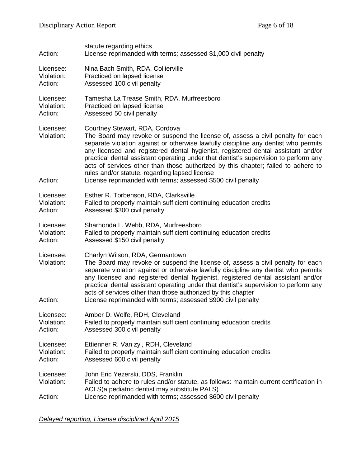| Action:                            | statute regarding ethics<br>License reprimanded with terms; assessed \$1,000 civil penalty                                                                                                                                                                                                                                                                                                                                                                                                                                                                                                  |
|------------------------------------|---------------------------------------------------------------------------------------------------------------------------------------------------------------------------------------------------------------------------------------------------------------------------------------------------------------------------------------------------------------------------------------------------------------------------------------------------------------------------------------------------------------------------------------------------------------------------------------------|
| Licensee:                          | Nina Bach Smith, RDA, Collierville                                                                                                                                                                                                                                                                                                                                                                                                                                                                                                                                                          |
| Violation:                         | Practiced on lapsed license                                                                                                                                                                                                                                                                                                                                                                                                                                                                                                                                                                 |
| Action:                            | Assessed 100 civil penalty                                                                                                                                                                                                                                                                                                                                                                                                                                                                                                                                                                  |
| Licensee:                          | Tamesha La Trease Smith, RDA, Murfreesboro                                                                                                                                                                                                                                                                                                                                                                                                                                                                                                                                                  |
| Violation:                         | Practiced on lapsed license                                                                                                                                                                                                                                                                                                                                                                                                                                                                                                                                                                 |
| Action:                            | Assessed 50 civil penalty                                                                                                                                                                                                                                                                                                                                                                                                                                                                                                                                                                   |
| Licensee:<br>Violation:<br>Action: | Courtney Stewart, RDA, Cordova<br>The Board may revoke or suspend the license of, assess a civil penalty for each<br>separate violation against or otherwise lawfully discipline any dentist who permits<br>any licensed and registered dental hygienist, registered dental assistant and/or<br>practical dental assistant operating under that dentist's supervision to perform any<br>acts of services other than those authorized by this chapter; failed to adhere to<br>rules and/or statute, regarding lapsed license<br>License reprimanded with terms; assessed \$500 civil penalty |
|                                    |                                                                                                                                                                                                                                                                                                                                                                                                                                                                                                                                                                                             |
| Licensee:                          | Esther R. Torbenson, RDA, Clarksville                                                                                                                                                                                                                                                                                                                                                                                                                                                                                                                                                       |
| Violation:                         | Failed to properly maintain sufficient continuing education credits                                                                                                                                                                                                                                                                                                                                                                                                                                                                                                                         |
| Action:                            | Assessed \$300 civil penalty                                                                                                                                                                                                                                                                                                                                                                                                                                                                                                                                                                |
| Licensee:                          | Sharhonda L. Webb, RDA, Murfreesboro                                                                                                                                                                                                                                                                                                                                                                                                                                                                                                                                                        |
| Violation:                         | Failed to properly maintain sufficient continuing education credits                                                                                                                                                                                                                                                                                                                                                                                                                                                                                                                         |
| Action:                            | Assessed \$150 civil penalty                                                                                                                                                                                                                                                                                                                                                                                                                                                                                                                                                                |
| Licensee:<br>Violation:<br>Action: | Charlyn Wilson, RDA, Germantown<br>The Board may revoke or suspend the license of, assess a civil penalty for each<br>separate violation against or otherwise lawfully discipline any dentist who permits<br>any licensed and registered dental hygienist, registered dental assistant and/or<br>practical dental assistant operating under that dentist's supervision to perform any<br>acts of services other than those authorized by this chapter<br>License reprimanded with terms; assessed \$900 civil penalty                                                                       |
| Licensee:                          | Amber D. Wolfe, RDH, Cleveland                                                                                                                                                                                                                                                                                                                                                                                                                                                                                                                                                              |
| Violation:                         | Failed to properly maintain sufficient continuing education credits                                                                                                                                                                                                                                                                                                                                                                                                                                                                                                                         |
| Action:                            | Assessed 300 civil penalty                                                                                                                                                                                                                                                                                                                                                                                                                                                                                                                                                                  |
| Licensee:                          | Ettienner R. Van zyl, RDH, Cleveland                                                                                                                                                                                                                                                                                                                                                                                                                                                                                                                                                        |
| Violation:                         | Failed to properly maintain sufficient continuing education credits                                                                                                                                                                                                                                                                                                                                                                                                                                                                                                                         |
| Action:                            | Assessed 600 civil penalty                                                                                                                                                                                                                                                                                                                                                                                                                                                                                                                                                                  |
| Licensee:<br>Violation:<br>Action: | John Eric Yezerski, DDS, Franklin<br>Failed to adhere to rules and/or statute, as follows: maintain current certification in<br>ACLS(a pediatric dentist may substitute PALS)<br>License reprimanded with terms; assessed \$600 civil penalty                                                                                                                                                                                                                                                                                                                                               |

*Delayed reporting, License disciplined April 2015*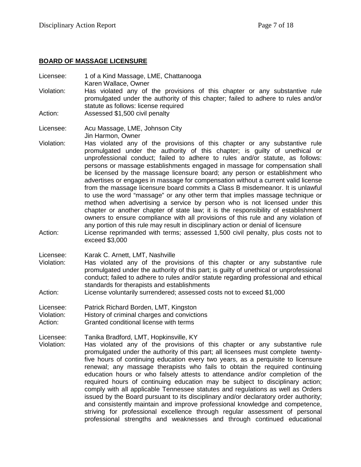## **BOARD OF MASSAGE LICENSURE**

Licensee: 1 of a Kind Massage, LME, Chattanooga Karen Wallace, Owner

Violation: Has violated any of the provisions of this chapter or any substantive rule promulgated under the authority of this chapter; failed to adhere to rules and/or statute as follows: license required

Action: Assessed \$1,500 civil penalty

Licensee: Acu Massage, LME, Johnson City Jin Harmon, Owner

Violation: Has violated any of the provisions of this chapter or any substantive rule promulgated under the authority of this chapter; is guilty of unethical or unprofessional conduct; failed to adhere to rules and/or statute, as follows: persons or massage establishments engaged in massage for compensation shall be licensed by the massage licensure board; any person or establishment who advertises or engages in massage for compensation without a current valid license from the massage licensure board commits a Class B misdemeanor. It is unlawful to use the word "massage" or any other term that implies massage technique or method when advertising a service by person who is not licensed under this chapter or another chapter of state law; it is the responsibility of establishment owners to ensure compliance with all provisions of this rule and any violation of any portion of this rule may result in disciplinary action or denial of licensure

Action: License reprimanded with terms; assessed 1,500 civil penalty, plus costs not to exceed \$3,000

Licensee: Karak C. Arnett, LMT, Nashville

Violation: Has violated any of the provisions of this chapter or any substantive rule promulgated under the authority of this part; is guilty of unethical or unprofessional conduct; failed to adhere to rules and/or statute regarding professional and ethical standards for therapists and establishments

Action: License voluntarily surrendered; assessed costs not to exceed \$1,000

Licensee: Patrick Richard Borden, LMT, Kingston

Violation: History of criminal charges and convictions

Action: Granted conditional license with terms

Licensee: Tanika Bradford, LMT, Hopkinsville, KY

Violation: Has violated any of the provisions of this chapter or any substantive rule promulgated under the authority of this part; all licensees must complete twentyfive hours of continuing education every two years, as a perquisite to licensure renewal; any massage therapists who fails to obtain the required continuing education hours or who falsely attests to attendance and/or completion of the required hours of continuing education may be subject to disciplinary action; comply with all applicable Tennessee statutes and regulations as well as Orders issued by the Board pursuant to its disciplinary and/or declaratory order authority; and consistently maintain and improve professional knowledge and competence, striving for professional excellence through regular assessment of personal professional strengths and weaknesses and through continued educational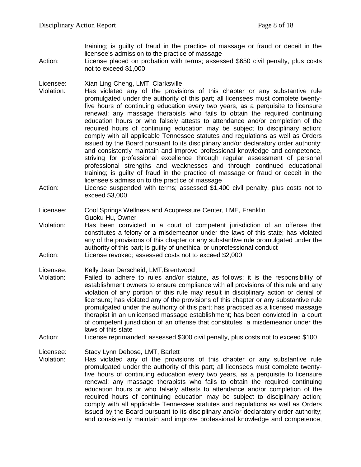training; is guilty of fraud in the practice of massage or fraud or deceit in the licensee's admission to the practice of massage

Action: License placed on probation with terms; assessed \$650 civil penalty, plus costs not to exceed \$1,000

Licensee: Xian Ling Cheng, LMT, Clarksville

- Violation: Has violated any of the provisions of this chapter or any substantive rule promulgated under the authority of this part; all licensees must complete twentyfive hours of continuing education every two years, as a perquisite to licensure renewal; any massage therapists who fails to obtain the required continuing education hours or who falsely attests to attendance and/or completion of the required hours of continuing education may be subject to disciplinary action; comply with all applicable Tennessee statutes and regulations as well as Orders issued by the Board pursuant to its disciplinary and/or declaratory order authority; and consistently maintain and improve professional knowledge and competence, striving for professional excellence through regular assessment of personal professional strengths and weaknesses and through continued educational training; is guilty of fraud in the practice of massage or fraud or deceit in the licensee's admission to the practice of massage
- Action: License suspended with terms; assessed \$1,400 civil penalty, plus costs not to exceed \$3,000

#### Licensee: Cool Springs Wellness and Acupressure Center, LME, Franklin Guoku Hu, Owner

- Violation: Has been convicted in a court of competent jurisdiction of an offense that constitutes a felony or a misdemeanor under the laws of this state; has violated any of the provisions of this chapter or any substantive rule promulgated under the authority of this part; is guilty of unethical or unprofessional conduct
- Action: License revoked: assessed costs not to exceed \$2,000

Licensee: Kelly Jean Derscheid, LMT,Brentwood

- Violation: Failed to adhere to rules and/or statute, as follows: it is the responsibility of establishment owners to ensure compliance with all provisions of this rule and any violation of any portion of this rule may result in disciplinary action or denial of licensure; has violated any of the provisions of this chapter or any substantive rule promulgated under the authority of this part; has practiced as a licensed massage therapist in an unlicensed massage establishment; has been convicted in a court of competent jurisdiction of an offense that constitutes a misdemeanor under the laws of this state
- Action: License reprimanded; assessed \$300 civil penalty, plus costs not to exceed \$100

Licensee: Stacy Lynn Debose, LMT, Barlett

Violation: Has violated any of the provisions of this chapter or any substantive rule promulgated under the authority of this part; all licensees must complete twentyfive hours of continuing education every two years, as a perquisite to licensure renewal; any massage therapists who fails to obtain the required continuing education hours or who falsely attests to attendance and/or completion of the required hours of continuing education may be subject to disciplinary action; comply with all applicable Tennessee statutes and regulations as well as Orders issued by the Board pursuant to its disciplinary and/or declaratory order authority; and consistently maintain and improve professional knowledge and competence,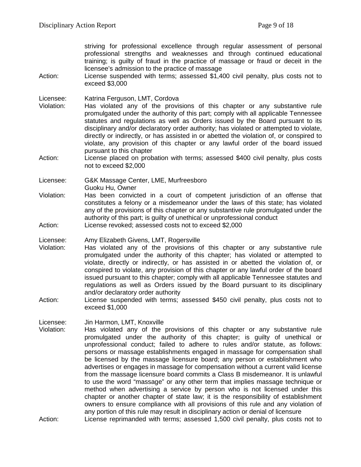striving for professional excellence through regular assessment of personal professional strengths and weaknesses and through continued educational training; is guilty of fraud in the practice of massage or fraud or deceit in the licensee's admission to the practice of massage

Action: License suspended with terms; assessed \$1,400 civil penalty, plus costs not to exceed \$3,000

Licensee: Katrina Ferguson, LMT, Cordova

- Violation: Has violated any of the provisions of this chapter or any substantive rule promulgated under the authority of this part; comply with all applicable Tennessee statutes and regulations as well as Orders issued by the Board pursuant to its disciplinary and/or declaratory order authority; has violated or attempted to violate, directly or indirectly, or has assisted in or abetted the violation of, or conspired to violate, any provision of this chapter or any lawful order of the board issued pursuant to this chapter
- Action: License placed on probation with terms; assessed \$400 civil penalty, plus costs not to exceed \$2,000

Licensee: G&K Massage Center, LME, Murfreesboro

Guoku Hu, Owner

- Violation: Has been convicted in a court of competent jurisdiction of an offense that constitutes a felony or a misdemeanor under the laws of this state; has violated any of the provisions of this chapter or any substantive rule promulgated under the authority of this part; is guilty of unethical or unprofessional conduct
- Action: License revoked; assessed costs not to exceed \$2,000

Licensee: Amy Elizabeth Givens, LMT, Rogersville

- Violation: Has violated any of the provisions of this chapter or any substantive rule promulgated under the authority of this chapter; has violated or attempted to violate, directly or indirectly, or has assisted in or abetted the violation of, or conspired to violate, any provision of this chapter or any lawful order of the board issued pursuant to this chapter; comply with all applicable Tennessee statutes and regulations as well as Orders issued by the Board pursuant to its disciplinary and/or declaratory order authority
- Action: License suspended with terms; assessed \$450 civil penalty, plus costs not to exceed \$1,000

Licensee: Jin Harmon, LMT, Knoxville<br>Violation: Has violated any of the

Has violated any of the provisions of this chapter or any substantive rule promulgated under the authority of this chapter; is guilty of unethical or unprofessional conduct; failed to adhere to rules and/or statute, as follows: persons or massage establishments engaged in massage for compensation shall be licensed by the massage licensure board; any person or establishment who advertises or engages in massage for compensation without a current valid license from the massage licensure board commits a Class B misdemeanor. It is unlawful to use the word "massage" or any other term that implies massage technique or method when advertising a service by person who is not licensed under this chapter or another chapter of state law; it is the responsibility of establishment owners to ensure compliance with all provisions of this rule and any violation of any portion of this rule may result in disciplinary action or denial of licensure

Action: License reprimanded with terms; assessed 1,500 civil penalty, plus costs not to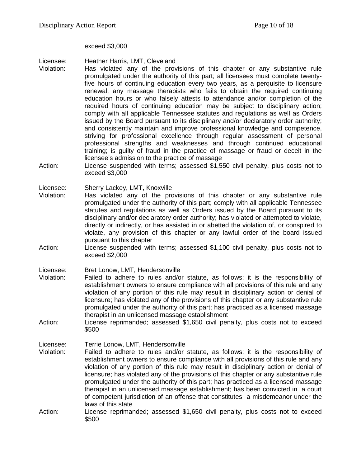exceed \$3,000

Licensee: Heather Harris, LMT, Cleveland

- Violation: Has violated any of the provisions of this chapter or any substantive rule promulgated under the authority of this part; all licensees must complete twentyfive hours of continuing education every two years, as a perquisite to licensure renewal; any massage therapists who fails to obtain the required continuing education hours or who falsely attests to attendance and/or completion of the required hours of continuing education may be subject to disciplinary action; comply with all applicable Tennessee statutes and regulations as well as Orders issued by the Board pursuant to its disciplinary and/or declaratory order authority; and consistently maintain and improve professional knowledge and competence, striving for professional excellence through regular assessment of personal professional strengths and weaknesses and through continued educational training; is guilty of fraud in the practice of massage or fraud or deceit in the licensee's admission to the practice of massage
- Action: License suspended with terms; assessed \$1,550 civil penalty, plus costs not to exceed \$3,000

Licensee: Sherry Lackey, LMT, Knoxville

- Violation: Has violated any of the provisions of this chapter or any substantive rule promulgated under the authority of this part; comply with all applicable Tennessee statutes and regulations as well as Orders issued by the Board pursuant to its disciplinary and/or declaratory order authority; has violated or attempted to violate, directly or indirectly, or has assisted in or abetted the violation of, or conspired to violate, any provision of this chapter or any lawful order of the board issued pursuant to this chapter
- Action: License suspended with terms; assessed \$1,100 civil penalty, plus costs not to exceed \$2,000

Licensee: Bret Lonow, LMT, Hendersonville

- Violation: Failed to adhere to rules and/or statute, as follows: it is the responsibility of establishment owners to ensure compliance with all provisions of this rule and any violation of any portion of this rule may result in disciplinary action or denial of licensure; has violated any of the provisions of this chapter or any substantive rule promulgated under the authority of this part; has practiced as a licensed massage therapist in an unlicensed massage establishment
- Action: License reprimanded; assessed \$1,650 civil penalty, plus costs not to exceed \$500

Licensee: Terrie Lonow, LMT, Hendersonville

- Violation: Failed to adhere to rules and/or statute, as follows: it is the responsibility of establishment owners to ensure compliance with all provisions of this rule and any violation of any portion of this rule may result in disciplinary action or denial of licensure; has violated any of the provisions of this chapter or any substantive rule promulgated under the authority of this part; has practiced as a licensed massage therapist in an unlicensed massage establishment; has been convicted in a court of competent jurisdiction of an offense that constitutes a misdemeanor under the laws of this state
- Action: License reprimanded; assessed \$1,650 civil penalty, plus costs not to exceed \$500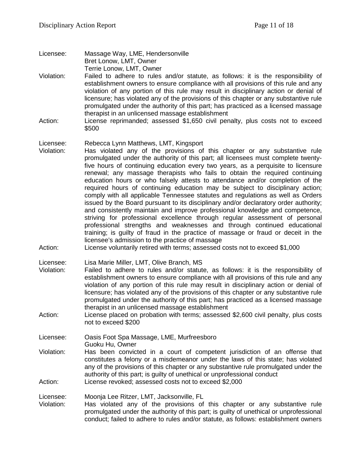- Licensee: Massage Way, LME, Hendersonville Bret Lonow, LMT, Owner Terrie Lonow, LMT, Owner
- Violation: Failed to adhere to rules and/or statute, as follows: it is the responsibility of establishment owners to ensure compliance with all provisions of this rule and any violation of any portion of this rule may result in disciplinary action or denial of licensure; has violated any of the provisions of this chapter or any substantive rule promulgated under the authority of this part; has practiced as a licensed massage therapist in an unlicensed massage establishment
- Action: License reprimanded; assessed \$1,650 civil penalty, plus costs not to exceed \$500

## Licensee: Rebecca Lynn Matthews, LMT, Kingsport

- Violation: Has violated any of the provisions of this chapter or any substantive rule promulgated under the authority of this part; all licensees must complete twentyfive hours of continuing education every two years, as a perquisite to licensure renewal; any massage therapists who fails to obtain the required continuing education hours or who falsely attests to attendance and/or completion of the required hours of continuing education may be subject to disciplinary action; comply with all applicable Tennessee statutes and regulations as well as Orders issued by the Board pursuant to its disciplinary and/or declaratory order authority; and consistently maintain and improve professional knowledge and competence, striving for professional excellence through regular assessment of personal professional strengths and weaknesses and through continued educational training; is guilty of fraud in the practice of massage or fraud or deceit in the licensee's admission to the practice of massage
- Action: License voluntarily retired with terms; assessed costs not to exceed \$1,000

Licensee: Lisa Marie Miller, LMT, Olive Branch, MS

- Violation: Failed to adhere to rules and/or statute, as follows: it is the responsibility of establishment owners to ensure compliance with all provisions of this rule and any violation of any portion of this rule may result in disciplinary action or denial of licensure; has violated any of the provisions of this chapter or any substantive rule promulgated under the authority of this part; has practiced as a licensed massage therapist in an unlicensed massage establishment
- Action: License placed on probation with terms; assessed \$2,600 civil penalty, plus costs not to exceed \$200
- Licensee: Oasis Foot Spa Massage, LME, Murfreesboro Guoku Hu, Owner
- Violation: Has been convicted in a court of competent jurisdiction of an offense that constitutes a felony or a misdemeanor under the laws of this state; has violated any of the provisions of this chapter or any substantive rule promulgated under the authority of this part; is guilty of unethical or unprofessional conduct
- Action: License revoked; assessed costs not to exceed \$2,000

Licensee: Moonja Lee Ritzer, LMT, Jacksonville, FL

Violation: Has violated any of the provisions of this chapter or any substantive rule promulgated under the authority of this part; is guilty of unethical or unprofessional conduct; failed to adhere to rules and/or statute, as follows: establishment owners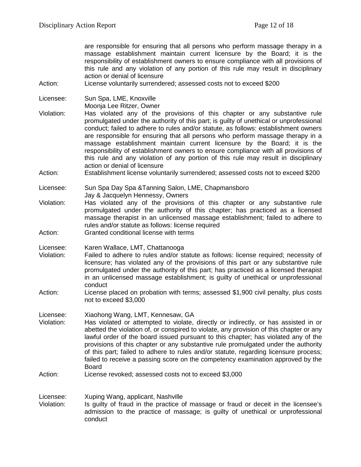are responsible for ensuring that all persons who perform massage therapy in a massage establishment maintain current licensure by the Board; it is the responsibility of establishment owners to ensure compliance with all provisions of this rule and any violation of any portion of this rule may result in disciplinary action or denial of licensure

- Action: License voluntarily surrendered; assessed costs not to exceed \$200
- Licensee: Sun Spa, LME, Knoxville

Moonja Lee Ritzer, Owner

- Violation: Has violated any of the provisions of this chapter or any substantive rule promulgated under the authority of this part; is guilty of unethical or unprofessional conduct; failed to adhere to rules and/or statute, as follows: establishment owners are responsible for ensuring that all persons who perform massage therapy in a massage establishment maintain current licensure by the Board; it is the responsibility of establishment owners to ensure compliance with all provisions of this rule and any violation of any portion of this rule may result in disciplinary action or denial of licensure
- Action: Establishment license voluntarily surrendered; assessed costs not to exceed \$200

Licensee: Sun Spa Day Spa &Tanning Salon, LME, Chapmansboro

Jay & Jacquelyn Hennessy, Owners

- Violation: Has violated any of the provisions of this chapter or any substantive rule promulgated under the authority of this chapter; has practiced as a licensed massage therapist in an unlicensed massage establishment; failed to adhere to rules and/or statute as follows: license required
- Action: Granted conditional license with terms
- Licensee: Karen Wallace, LMT, Chattanooga
- Violation: Failed to adhere to rules and/or statute as follows: license required; necessity of licensure; has violated any of the provisions of this part or any substantive rule promulgated under the authority of this part; has practiced as a licensed therapist in an unlicensed massage establishment; is guilty of unethical or unprofessional conduct
- Action: License placed on probation with terms; assessed \$1,900 civil penalty, plus costs not to exceed \$3,000

Licensee: Xiaohong Wang, LMT, Kennesaw, GA

- Violation: Has violated or attempted to violate, directly or indirectly, or has assisted in or abetted the violation of, or conspired to violate, any provision of this chapter or any lawful order of the board issued pursuant to this chapter; has violated any of the provisions of this chapter or any substantive rule promulgated under the authority of this part; failed to adhere to rules and/or statute, regarding licensure process; failed to receive a passing score on the competency examination approved by the Board
- Action: License revoked; assessed costs not to exceed \$3,000

Licensee: Xuping Wang, applicant, Nashville<br>Violation: Is quilty of fraud in the practice o Is guilty of fraud in the practice of massage or fraud or deceit in the licensee's admission to the practice of massage; is guilty of unethical or unprofessional conduct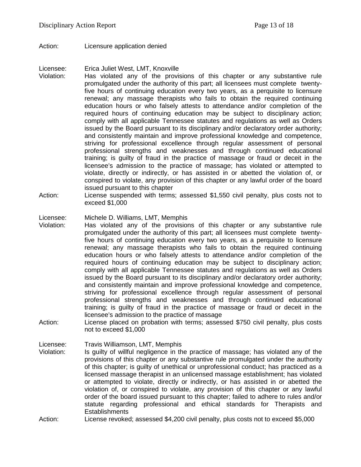Action: Licensure application denied

Licensee: Erica Juliet West, LMT, Knoxville

- Violation: Has violated any of the provisions of this chapter or any substantive rule promulgated under the authority of this part; all licensees must complete twentyfive hours of continuing education every two years, as a perquisite to licensure renewal; any massage therapists who fails to obtain the required continuing education hours or who falsely attests to attendance and/or completion of the required hours of continuing education may be subject to disciplinary action; comply with all applicable Tennessee statutes and regulations as well as Orders issued by the Board pursuant to its disciplinary and/or declaratory order authority; and consistently maintain and improve professional knowledge and competence, striving for professional excellence through regular assessment of personal professional strengths and weaknesses and through continued educational training; is guilty of fraud in the practice of massage or fraud or deceit in the licensee's admission to the practice of massage; has violated or attempted to violate, directly or indirectly, or has assisted in or abetted the violation of, or conspired to violate, any provision of this chapter or any lawful order of the board issued pursuant to this chapter
- Action: License suspended with terms; assessed \$1,550 civil penalty, plus costs not to exceed \$1,000

Licensee: Michele D. Williams, LMT, Memphis<br>Violation: Has violated any of the provision

- Has violated any of the provisions of this chapter or any substantive rule promulgated under the authority of this part; all licensees must complete twentyfive hours of continuing education every two years, as a perquisite to licensure renewal; any massage therapists who fails to obtain the required continuing education hours or who falsely attests to attendance and/or completion of the required hours of continuing education may be subject to disciplinary action; comply with all applicable Tennessee statutes and regulations as well as Orders issued by the Board pursuant to its disciplinary and/or declaratory order authority; and consistently maintain and improve professional knowledge and competence, striving for professional excellence through regular assessment of personal professional strengths and weaknesses and through continued educational training; is guilty of fraud in the practice of massage or fraud or deceit in the licensee's admission to the practice of massage
- Action: License placed on probation with terms; assessed \$750 civil penalty, plus costs not to exceed \$1,000

Licensee: Travis Williamson, LMT, Memphis

- Violation: Is guilty of willful negligence in the practice of massage; has violated any of the provisions of this chapter or any substantive rule promulgated under the authority of this chapter; is guilty of unethical or unprofessional conduct; has practiced as a licensed massage therapist in an unlicensed massage establishment; has violated or attempted to violate, directly or indirectly, or has assisted in or abetted the violation of, or conspired to violate, any provision of this chapter or any lawful order of the board issued pursuant to this chapter; failed to adhere to rules and/or statute regarding professional and ethical standards for Therapists and **Establishments**
- Action: License revoked; assessed \$4,200 civil penalty, plus costs not to exceed \$5,000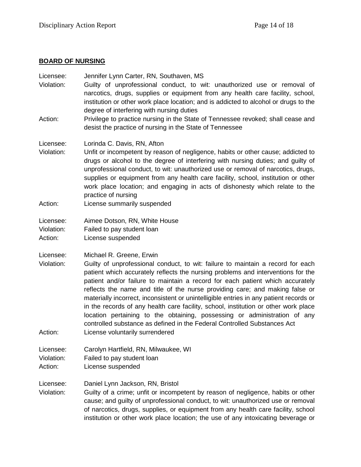## **BOARD OF NURSING**

| Licensee:<br>Violation:<br>Action: | Jennifer Lynn Carter, RN, Southaven, MS<br>Guilty of unprofessional conduct, to wit: unauthorized use or removal of<br>narcotics, drugs, supplies or equipment from any health care facility, school,<br>institution or other work place location; and is addicted to alcohol or drugs to the<br>degree of interfering with nursing duties<br>Privilege to practice nursing in the State of Tennessee revoked; shall cease and<br>desist the practice of nursing in the State of Tennessee                                                                                                                                                                                                                                                    |
|------------------------------------|-----------------------------------------------------------------------------------------------------------------------------------------------------------------------------------------------------------------------------------------------------------------------------------------------------------------------------------------------------------------------------------------------------------------------------------------------------------------------------------------------------------------------------------------------------------------------------------------------------------------------------------------------------------------------------------------------------------------------------------------------|
| Licensee:<br>Violation:<br>Action: | Lorinda C. Davis, RN, Afton<br>Unfit or incompetent by reason of negligence, habits or other cause; addicted to<br>drugs or alcohol to the degree of interfering with nursing duties; and guilty of<br>unprofessional conduct, to wit: unauthorized use or removal of narcotics, drugs,<br>supplies or equipment from any health care facility, school, institution or other<br>work place location; and engaging in acts of dishonesty which relate to the<br>practice of nursing<br>License summarily suspended                                                                                                                                                                                                                             |
| Licensee:<br>Violation:<br>Action: | Aimee Dotson, RN, White House<br>Failed to pay student loan<br>License suspended                                                                                                                                                                                                                                                                                                                                                                                                                                                                                                                                                                                                                                                              |
| Licensee:<br>Violation:<br>Action: | Michael R. Greene, Erwin<br>Guilty of unprofessional conduct, to wit: failure to maintain a record for each<br>patient which accurately reflects the nursing problems and interventions for the<br>patient and/or failure to maintain a record for each patient which accurately<br>reflects the name and title of the nurse providing care; and making false or<br>materially incorrect, inconsistent or unintelligible entries in any patient records or<br>in the records of any health care facility, school, institution or other work place<br>location pertaining to the obtaining, possessing or administration of any<br>controlled substance as defined in the Federal Controlled Substances Act<br>License voluntarily surrendered |
| Licensee:<br>Violation:<br>Action: | Carolyn Hartfield, RN, Milwaukee, WI<br>Failed to pay student loan<br>License suspended                                                                                                                                                                                                                                                                                                                                                                                                                                                                                                                                                                                                                                                       |
| Licensee:<br>Violation:            | Daniel Lynn Jackson, RN, Bristol<br>Guilty of a crime; unfit or incompetent by reason of negligence, habits or other<br>cause; and guilty of unprofessional conduct, to wit: unauthorized use or removal<br>of narcotics, drugs, supplies, or equipment from any health care facility, school<br>institution or other work place location; the use of any intoxicating beverage or                                                                                                                                                                                                                                                                                                                                                            |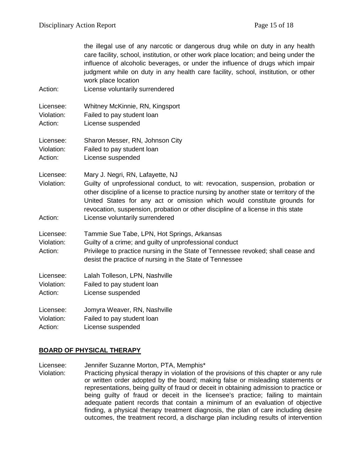|                                    | the illegal use of any narcotic or dangerous drug while on duty in any health<br>care facility, school, institution, or other work place location; and being under the<br>influence of alcoholic beverages, or under the influence of drugs which impair<br>judgment while on duty in any health care facility, school, institution, or other<br>work place location                                            |
|------------------------------------|-----------------------------------------------------------------------------------------------------------------------------------------------------------------------------------------------------------------------------------------------------------------------------------------------------------------------------------------------------------------------------------------------------------------|
| Action:                            | License voluntarily surrendered                                                                                                                                                                                                                                                                                                                                                                                 |
| Licensee:                          | Whitney McKinnie, RN, Kingsport                                                                                                                                                                                                                                                                                                                                                                                 |
| Violation:                         | Failed to pay student loan                                                                                                                                                                                                                                                                                                                                                                                      |
| Action:                            | License suspended                                                                                                                                                                                                                                                                                                                                                                                               |
| Licensee:                          | Sharon Messer, RN, Johnson City                                                                                                                                                                                                                                                                                                                                                                                 |
| Violation:                         | Failed to pay student loan                                                                                                                                                                                                                                                                                                                                                                                      |
| Action:                            | License suspended                                                                                                                                                                                                                                                                                                                                                                                               |
| Licensee:<br>Violation:<br>Action: | Mary J. Negri, RN, Lafayette, NJ<br>Guilty of unprofessional conduct, to wit: revocation, suspension, probation or<br>other discipline of a license to practice nursing by another state or territory of the<br>United States for any act or omission which would constitute grounds for<br>revocation, suspension, probation or other discipline of a license in this state<br>License voluntarily surrendered |
| Licensee:<br>Violation:<br>Action: | Tammie Sue Tabe, LPN, Hot Springs, Arkansas<br>Guilty of a crime; and guilty of unprofessional conduct<br>Privilege to practice nursing in the State of Tennessee revoked; shall cease and<br>desist the practice of nursing in the State of Tennessee                                                                                                                                                          |
| Licensee:                          | Lalah Tolleson, LPN, Nashville                                                                                                                                                                                                                                                                                                                                                                                  |
| Violation:                         | Failed to pay student loan                                                                                                                                                                                                                                                                                                                                                                                      |
| Action:                            | License suspended                                                                                                                                                                                                                                                                                                                                                                                               |
| Licensee:                          | Jomyra Weaver, RN, Nashville                                                                                                                                                                                                                                                                                                                                                                                    |
| Violation:                         | Failed to pay student loan                                                                                                                                                                                                                                                                                                                                                                                      |
| Action:                            | License suspended                                                                                                                                                                                                                                                                                                                                                                                               |

## **BOARD OF PHYSICAL THERAPY**

Licensee: Jennifer Suzanne Morton, PTA, Memphis\*

Violation: Practicing physical therapy in violation of the provisions of this chapter or any rule or written order adopted by the board; making false or misleading statements or representations, being guilty of fraud or deceit in obtaining admission to practice or being quilty of fraud or deceit in the licensee's practice; failing to maintain adequate patient records that contain a minimum of an evaluation of objective finding, a physical therapy treatment diagnosis, the plan of care including desire outcomes, the treatment record, a discharge plan including results of intervention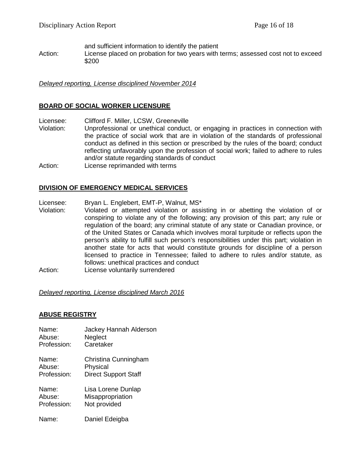and sufficient information to identify the patient

Action: License placed on probation for two years with terms; assessed cost not to exceed \$200

## *Delayed reporting, License disciplined November 2014*

## **BOARD OF SOCIAL WORKER LICENSURE**

Licensee: Clifford F. Miller, LCSW, Greeneville

Violation: Unprofessional or unethical conduct, or engaging in practices in connection with the practice of social work that are in violation of the standards of professional conduct as defined in this section or prescribed by the rules of the board; conduct reflecting unfavorably upon the profession of social work; failed to adhere to rules and/or statute regarding standards of conduct

Action: License reprimanded with terms

### **DIVISION OF EMERGENCY MEDICAL SERVICES**

Licensee: Bryan L. Englebert, EMT-P, Walnut, MS\*

Violation: Violated or attempted violation or assisting in or abetting the violation of or conspiring to violate any of the following; any provision of this part; any rule or regulation of the board; any criminal statute of any state or Canadian province, or of the United States or Canada which involves moral turpitude or reflects upon the person's ability to fulfill such person's responsibilities under this part; violation in another state for acts that would constitute grounds for discipline of a person licensed to practice in Tennessee; failed to adhere to rules and/or statute, as follows: unethical practices and conduct

Action: License voluntarily surrendered

#### *Delayed reporting, License disciplined March 2016*

## **ABUSE REGISTRY**

| Name:       | <b>Jackey Hannah Alderson</b> |
|-------------|-------------------------------|
| Abuse:      | Neglect                       |
| Profession: | Caretaker                     |
| Name:       | Christina Cunningham          |
| Abuse:      | Physical                      |
| Profession: | <b>Direct Support Staff</b>   |
| Name:       | Lisa Lorene Dunlap            |
| Abuse:      | Misappropriation              |
| Profession: | Not provided                  |
| Name:       | Daniel Edeigba                |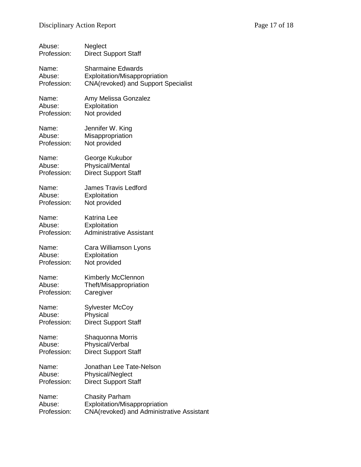| Abuse:      | Neglect                                    |
|-------------|--------------------------------------------|
| Profession: | <b>Direct Support Staff</b>                |
| Name:       | <b>Sharmaine Edwards</b>                   |
| Abuse:      | Exploitation/Misappropriation              |
| Profession: | <b>CNA(revoked) and Support Specialist</b> |
| Name:       | Amy Melissa Gonzalez                       |
| Abuse:      | Exploitation                               |
| Profession: | Not provided                               |
| Name:       | Jennifer W. King                           |
| Abuse:      | Misappropriation                           |
| Profession: | Not provided                               |
| Name:       | George Kukubor                             |
| Abuse:      | <b>Physical/Mental</b>                     |
| Profession: | <b>Direct Support Staff</b>                |
| Name:       | James Travis Ledford                       |
| Abuse:      | Exploitation                               |
| Profession: | Not provided                               |
| Name:       | <b>Katrina Lee</b>                         |
| Abuse:      | Exploitation                               |
| Profession: | <b>Administrative Assistant</b>            |
| Name:       | Cara Williamson Lyons                      |
| Abuse:      | Exploitation                               |
| Profession: | Not provided                               |
| Name:       | Kimberly McClennon                         |
| Abuse:      | Theft/Misappropriation                     |
| Profession: | Caregiver                                  |
| Name:       | <b>Sylvester McCoy</b>                     |
| Abuse:      | Physical                                   |
| Profession: | <b>Direct Support Staff</b>                |
| Name:       | Shaquonna Morris                           |
| Abuse:      | Physical/Verbal                            |
| Profession: | <b>Direct Support Staff</b>                |
| Name:       | Jonathan Lee Tate-Nelson                   |
| Abuse:      | <b>Physical/Neglect</b>                    |
| Profession: | <b>Direct Support Staff</b>                |
| Name:       | Chasity Parham                             |
| Abuse:      | Exploitation/Misappropriation              |
| Profession: | CNA(revoked) and Administrative Assistant  |